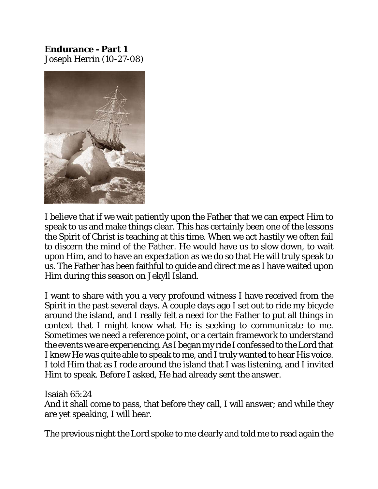**Endurance - Part 1** Joseph Herrin (10-27-08)



I believe that if we wait patiently upon the Father that we can expect Him to speak to us and make things clear. This has certainly been one of the lessons the Spirit of Christ is teaching at this time. When we act hastily we often fail to discern the mind of the Father. He would have us to slow down, to wait upon Him, and to have an expectation as we do so that He will truly speak to us. The Father has been faithful to guide and direct me as I have waited upon Him during this season on Jekyll Island.

I want to share with you a very profound witness I have received from the Spirit in the past several days. A couple days ago I set out to ride my bicycle around the island, and I really felt a need for the Father to put all things in context that I might know what He is seeking to communicate to me. Sometimes we need a reference point, or a certain framework to understand the events we are experiencing.As I began my ride I confessed to the Lord that I knew He was quite able to speak to me, and I truly wanted to hear His voice. I told Him that as I rode around the island that I was listening, and I invited Him to speak. Before I asked, He had already sent the answer.

Isaiah 65:24

And it shall come to pass, that before they call, I will answer; and while they are yet speaking, I will hear.

The previous night the Lord spoke to me clearly and told me to read again the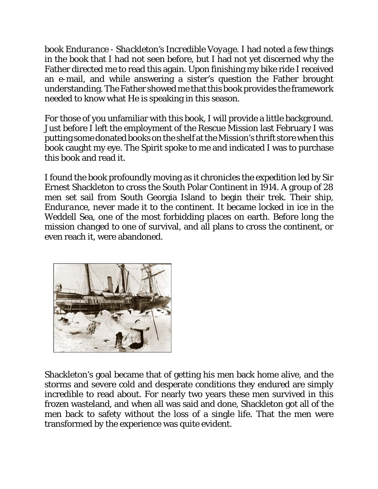book *Endurance - Shackleton's Incredible Voyage*. I had noted a few things in the book that I had not seen before, but I had not yet discerned why the Father directed me to read this again. Upon finishing my bike ride I received an e-mail, and while answering a sister's question the Father brought understanding. The Father showed me that this book provides the framework needed to know what He is speaking in this season.

For those of you unfamiliar with this book, I will provide a little background. Just before I left the employment of the Rescue Mission last February I was putting some donated books on the shelf at the Mission's thrift store when this book caught my eye. The Spirit spoke to me and indicated I was to purchase this book and read it.

I found the book profoundly moving as it chronicles the expedition led by Sir Ernest Shackleton to cross the South Polar Continent in 1914. A group of 28 men set sail from South Georgia Island to begin their trek. Their ship, *Endurance*, never made it to the continent. It became locked in ice in the Weddell Sea, one of the most forbidding places on earth. Before long the mission changed to one of survival, and all plans to cross the continent, or even reach it, were abandoned.



Shackleton's goal became that of getting his men back home alive, and the storms and severe cold and desperate conditions they endured are simply incredible to read about. For nearly two years these men survived in this frozen wasteland, and when all was said and done, Shackleton got all of the men back to safety without the loss of a single life. That the men were transformed by the experience was quite evident.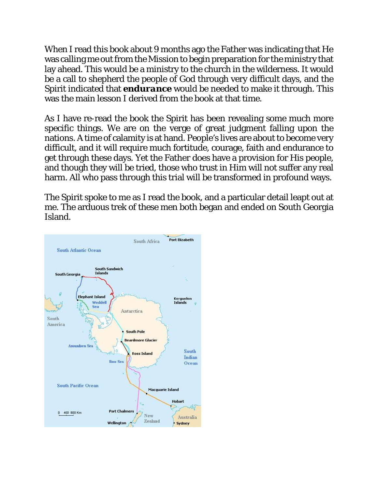When I read this book about 9 months ago the Father was indicating that He was calling me out from the Mission to begin preparation for the ministry that lay ahead. This would be a ministry to the church in the wilderness. It would be a call to shepherd the people of God through very difficult days, and the Spirit indicated that *endurance* would be needed to make it through. This was the main lesson I derived from the book at that time.

As I have re-read the book the Spirit has been revealing some much more specific things. We are on the verge of great judgment falling upon the nations. A time of calamity is at hand. People's lives are about to become very difficult, and it will require much fortitude, courage, faith and endurance to get through these days. Yet the Father does have a provision for His people, and though they will be tried, those who trust in Him will not suffer any real harm. All who pass through this trial will be transformed in profound ways.

The Spirit spoke to me as I read the book, and a particular detail leapt out at me. The arduous trek of these men both began and ended on South Georgia Island.

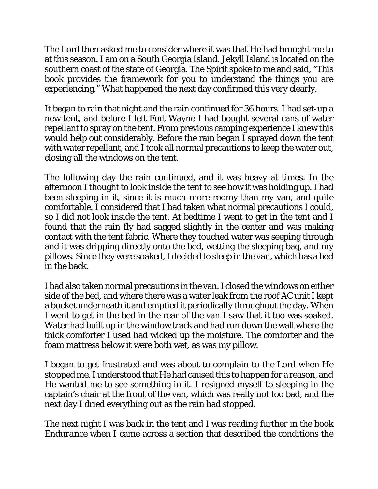The Lord then asked me to consider where it was that He had brought me to at this season. I am on a South Georgia Island. Jekyll Island is located on the southern coast of the state of Georgia. The Spirit spoke to me and said, "This book provides the framework for you to understand the things you are experiencing." What happened the next day confirmed this very clearly.

It began to rain that night and the rain continued for 36 hours. I had set-up a new tent, and before I left Fort Wayne I had bought several cans of water repellant to spray on the tent. From previous camping experience I knew this would help out considerably. Before the rain began I sprayed down the tent with water repellant, and I took all normal precautions to keep the water out, closing all the windows on the tent.

The following day the rain continued, and it was heavy at times. In the afternoon I thought to look inside the tent to see how it was holding up. I had been sleeping in it, since it is much more roomy than my van, and quite comfortable. I considered that I had taken what normal precautions I could, so I did not look inside the tent. At bedtime I went to get in the tent and I found that the rain fly had sagged slightly in the center and was making contact with the tent fabric. Where they touched water was seeping through and it was dripping directly onto the bed, wetting the sleeping bag, and my pillows. Since they were soaked, I decided to sleep in the van, which has a bed in the back.

I had also taken normal precautions in the van.I closed the windows on either side of the bed, and where there was a water leak from the roof AC unit I kept a bucket underneath it and emptied it periodically throughout the day. When I went to get in the bed in the rear of the van I saw that it too was soaked. Water had built up in the window track and had run down the wall where the thick comforter I used had wicked up the moisture. The comforter and the foam mattress below it were both wet, as was my pillow.

I began to get frustrated and was about to complain to the Lord when He stopped me. I understood that He had caused this to happen for a reason, and He wanted me to see something in it. I resigned myself to sleeping in the captain's chair at the front of the van, which was really not too bad, and the next day I dried everything out as the rain had stopped.

The next night I was back in the tent and I was reading further in the book *Endurance* when I came across a section that described the conditions the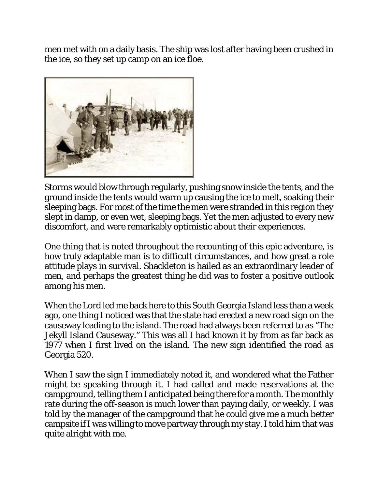men met with on a daily basis. The ship was lost after having been crushed in the ice, so they set up camp on an ice floe.



Storms would blow through regularly, pushing snow inside the tents, and the ground inside the tents would warm up causing the ice to melt, soaking their sleeping bags. For most of the time the men were stranded in this region they slept in damp, or even wet, sleeping bags. Yet the men adjusted to every new discomfort, and were remarkably optimistic about their experiences.

One thing that is noted throughout the recounting of this epic adventure, is how truly adaptable man is to difficult circumstances, and how great a role attitude plays in survival. Shackleton is hailed as an extraordinary leader of men, and perhaps the greatest thing he did was to foster a positive outlook among his men.

When the Lord led me back here to this South Georgia Island less than a week ago, one thing I noticed was that the state had erected a new road sign on the causeway leading to the island. The road had always been referred to as "The Jekyll Island Causeway." This was all I had known it by from as far back as 1977 when I first lived on the island. The new sign identified the road as Georgia 520.

When I saw the sign I immediately noted it, and wondered what the Father might be speaking through it. I had called and made reservations at the campground, telling them I anticipated being there for a month. The monthly rate during the off-season is much lower than paying daily, or weekly. I was told by the manager of the campground that he could give me a much better campsite if I was willing to move partway through my stay. I told him that was quite alright with me.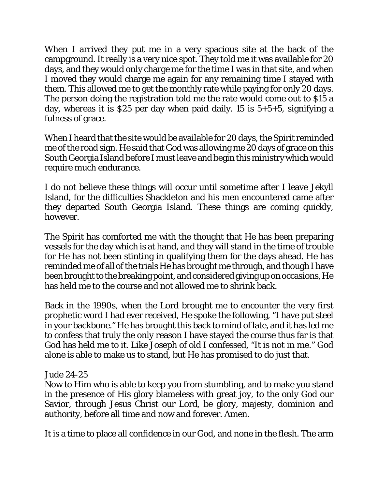When I arrived they put me in a very spacious site at the back of the campground. It really is a very nice spot. They told me it was available for 20 days, and they would only charge me for the time I was in that site, and when I moved they would charge me again for any remaining time I stayed with them. This allowed me to get the monthly rate while paying for only 20 days. The person doing the registration told me the rate would come out to \$15 a day, whereas it is \$25 per day when paid daily. 15 is 5+5+5, signifying a fulness of grace.

When I heard that the site would be available for 20 days, the Spirit reminded me of the road sign. He said that God was allowing me 20 days of grace on this South Georgia Island before I must leave and begin this ministry which would require much endurance.

I do not believe these things will occur until sometime after I leave Jekyll Island, for the difficulties Shackleton and his men encountered came after they departed South Georgia Island. These things are coming quickly, however.

The Spirit has comforted me with the thought that He has been preparing vessels for the day which is at hand, and they will stand in the time of trouble for He has not been stinting in qualifying them for the days ahead. He has reminded me of all of the trials He has brought me through, and though I have beenbrought to the breaking point, and consideredgiving up on occasions, He has held me to the course and not allowed me to shrink back.

Back in the 1990s, when the Lord brought me to encounter the very first prophetic word I had ever received, He spoke the following, "I have put steel in your backbone." He has brought this back to mind of late, and it has led me to confess that truly the only reason I have stayed the course thus far is that God has held me to it. Like Joseph of old I confessed, "It is not in me." God alone is able to make us to stand, but He has promised to do just that.

## Jude 24-25

Now to Him who is able to keep you from stumbling, and to make you stand in the presence of His glory blameless with great joy, to the only God our Savior, through Jesus Christ our Lord, be glory, majesty, dominion and authority, before all time and now and forever. Amen.

It is a time to place all confidence in our God, and none in the flesh. The arm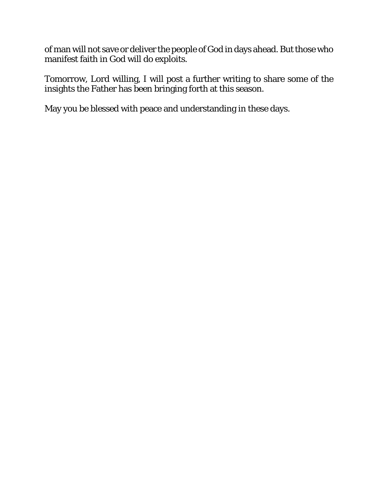of man will not save or deliver the people of God in days ahead. But those who manifest faith in God will do exploits.

Tomorrow, Lord willing, I will post a further writing to share some of the insights the Father has been bringing forth at this season.

May you be blessed with peace and understanding in these days.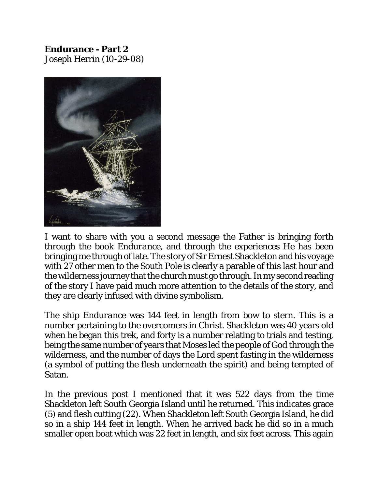**Endurance - Part 2** Joseph Herrin (10-29-08)



I want to share with you a second message the Father is bringing forth through the book *Endurance*, and through the experiences He has been bringing me through of late. The story of Sir Ernest Shackleton and his voyage with 27 other men to the South Pole is clearly a parable of this last hour and the wilderness journey that the church must go through. In my second reading of the story I have paid much more attention to the details of the story, and they are clearly infused with divine symbolism.

The ship *Endurance* was 144 feet in length from bow to stern. This is a number pertaining to the overcomers in Christ. Shackleton was 40 years old when he began this trek, and forty is a number relating to trials and testing, being the same number of years that Moses led the people of God through the wilderness, and the number of days the Lord spent fasting in the wilderness (a symbol of putting the flesh underneath the spirit) and being tempted of Satan.

In the previous post I mentioned that it was 522 days from the time Shackleton left South Georgia Island until he returned. This indicates grace (5) and flesh cutting (22). When Shackleton left South Georgia Island, he did so in a ship 144 feet in length. When he arrived back he did so in a much smaller open boat which was 22 feet in length, and six feet across. This again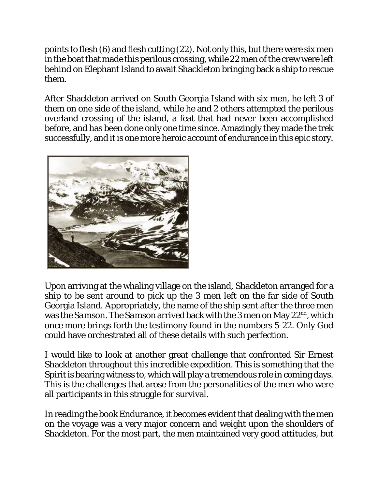points to flesh (6) and flesh cutting (22). Not only this, but there were six men in the boat that made this perilous crossing, while 22 men of the crew were left behind on Elephant Island to await Shackleton bringing back a ship to rescue them.

After Shackleton arrived on South Georgia Island with six men, he left 3 of them on one side of the island, while he and 2 others attempted the perilous overland crossing of the island, a feat that had never been accomplished before, and has been done only one time since. Amazingly they made the trek successfully, and it is one more heroic account of endurance in this epic story.



Upon arriving at the whaling village on the island, Shackleton arranged for a ship to be sent around to pick up the 3 men left on the far side of South Georgia Island. Appropriately, the name of the ship sent after the three men was the *Samson*. The *Samson* arrived back with the 3 men on May 22<sup>nd</sup>, which once more brings forth the testimony found in the numbers 5-22. Only God could have orchestrated all of these details with such perfection.

I would like to look at another great challenge that confronted Sir Ernest Shackleton throughout this incredible expedition. This is something that the Spirit is bearing witness to, which will play a tremendous role in coming days. This is the challenges that arose from the personalities of the men who were all participants in this struggle for survival.

In reading the book *Endurance*, it becomes evident that dealing with the men on the voyage was a very major concern and weight upon the shoulders of Shackleton. For the most part, the men maintained very good attitudes, but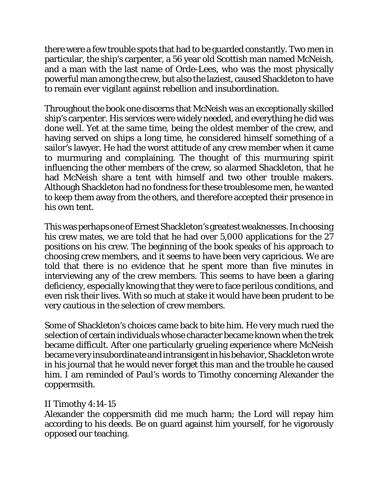there were a few trouble spots that had to be guarded constantly. Two men in particular, the ship's carpenter, a 56 year old Scottish man named McNeish, and a man with the last name of Orde-Lees, who was the most physically powerful man among the crew, but also the laziest, caused Shackleton to have to remain ever vigilant against rebellion and insubordination.

Throughout the book one discerns that McNeish was an exceptionally skilled ship's carpenter. His services were widely needed, and everything he did was done well. Yet at the same time, being the oldest member of the crew, and having served on ships a long time, he considered himself something of a sailor's lawyer. He had the worst attitude of any crew member when it came to murmuring and complaining. The thought of this murmuring spirit influencing the other members of the crew, so alarmed Shackleton, that he had McNeish share a tent with himself and two other trouble makers. Although Shackleton had no fondness for these troublesome men, he wanted to keep them away from the others, and therefore accepted their presence in his own tent.

This was perhaps one of Ernest Shackleton's greatest weaknesses. In choosing his crew mates, we are told that he had over 5,000 applications for the 27 positions on his crew. The beginning of the book speaks of his approach to choosing crew members, and it seems to have been very capricious. We are told that there is no evidence that he spent more than five minutes in interviewing any of the crew members. This seems to have been a glaring deficiency, especially knowing that they were to face perilous conditions, and even risk their lives. With so much at stake it would have been prudent to be very cautious in the selection of crew members.

Some of Shackleton's choices came back to bite him. He very much rued the selection of certain individuals whose character became known when the trek became difficult. After one particularly grueling experience where McNeish became very insubordinate and intransigentinhis behavior, Shackleton wrote in his journal that he would never forget this man and the trouble he caused him. I am reminded of Paul's words to Timothy concerning Alexander the coppermsith.

## II Timothy 4:14-15

Alexander the coppersmith did me much harm; the Lord will repay him according to his deeds. Be on guard against him yourself, for he vigorously opposed our teaching.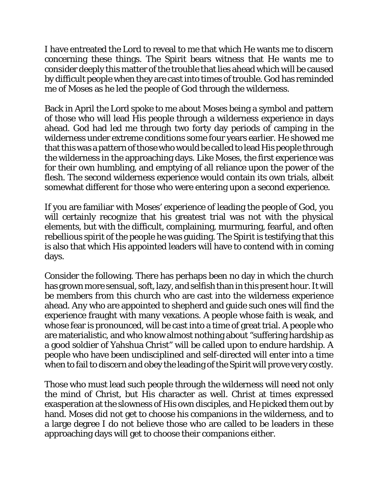I have entreated the Lord to reveal to me that which He wants me to discern concerning these things. The Spirit bears witness that He wants me to consider deeply this matter of the trouble that lies ahead which will be caused by difficult people when they are cast into times of trouble. God has reminded me of Moses as he led the people of God through the wilderness.

Back in April the Lord spoke to me about Moses being a symbol and pattern of those who will lead His people through a wilderness experience in days ahead. God had led me through two forty day periods of camping in the wilderness under extreme conditions some four years earlier. He showed me that this was a pattern of those who would be called to lead His people through the wilderness in the approaching days. Like Moses, the first experience was for their own humbling, and emptying of all reliance upon the power of the flesh. The second wilderness experience would contain its own trials, albeit somewhat different for those who were entering upon a second experience.

If you are familiar with Moses' experience of leading the people of God, you will certainly recognize that his greatest trial was not with the physical elements, but with the difficult, complaining, murmuring, fearful, and often rebellious spirit of the people he was guiding. The Spirit is testifying that this is also that which His appointed leaders will have to contend with in coming days.

Consider the following. There has perhaps been no day in which the church has grown more sensual, soft, lazy, and selfish than in this present hour. It will be members from this church who are cast into the wilderness experience ahead. Any who are appointed to shepherd and guide such ones will find the experience fraught with many vexations. A people whose faith is weak, and whose fear is pronounced, will be cast into a time of great trial. A people who are materialistic, and who know almost nothing about "suffering hardship as a good soldier of Yahshua Christ" will be called upon to endure hardship. A people who have been undisciplined and self-directed will enter into a time when to fail to discern and obey the leading of the Spirit will prove very costly.

Those who must lead such people through the wilderness will need not only the mind of Christ, but His character as well. Christ at times expressed exasperation at the slowness of His own disciples, and He picked them out by hand. Moses did not get to choose his companions in the wilderness, and to a large degree I do not believe those who are called to be leaders in these approaching days will get to choose their companions either.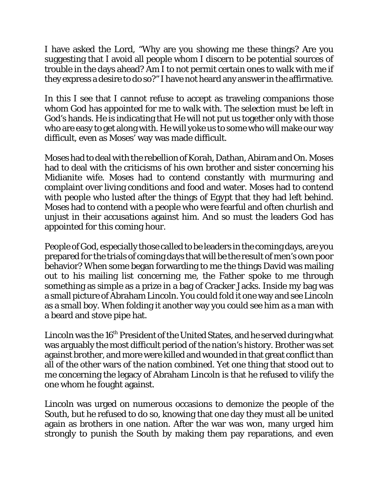I have asked the Lord, "Why are you showing me these things? Are you suggesting that I avoid all people whom I discern to be potential sources of trouble in the days ahead? Am I to not permit certain ones to walk with me if they express a desire to do so?" I have not heard any answer in the affirmative.

In this I see that I cannot refuse to accept as traveling companions those whom God has appointed for me to walk with. The selection must be left in God's hands. He is indicating that He will not put us together only with those who are easy to get along with. He will yoke us to some who will make our way difficult, even as Moses' way was made difficult.

Moses had to deal with the rebellion of Korah, Dathan, Abiram and On. Moses had to deal with the criticisms of his own brother and sister concerning his Midianite wife. Moses had to contend constantly with murmuring and complaint over living conditions and food and water. Moses had to contend with people who lusted after the things of Egypt that they had left behind. Moses had to contend with a people who were fearful and often churlish and unjust in their accusations against him. And so must the leaders God has appointed for this coming hour.

People of God, especially those called to be leaders in the coming days, are you prepared for the trials of coming days that will be the result of men's own poor behavior? When some began forwarding to me the things David was mailing out to his mailing list concerning me, the Father spoke to me through something as simple as a prize in a bag of Cracker Jacks. Inside my bag was a small picture of Abraham Lincoln. You could fold it one way and see Lincoln as a small boy. When folding it another way you could see him as a man with a beard and stove pipe hat.

Lincoln was the  $16<sup>th</sup>$  President of the United States, and he served during what was arguably the most difficult period of the nation's history. Brother was set against brother, and more were killed and wounded in that great conflict than all of the other wars of the nation combined. Yet one thing that stood out to me concerning the legacy of Abraham Lincoln is that he refused to vilify the one whom he fought against.

Lincoln was urged on numerous occasions to demonize the people of the South, but he refused to do so, knowing that one day they must all be united again as brothers in one nation. After the war was won, many urged him strongly to punish the South by making them pay reparations, and even